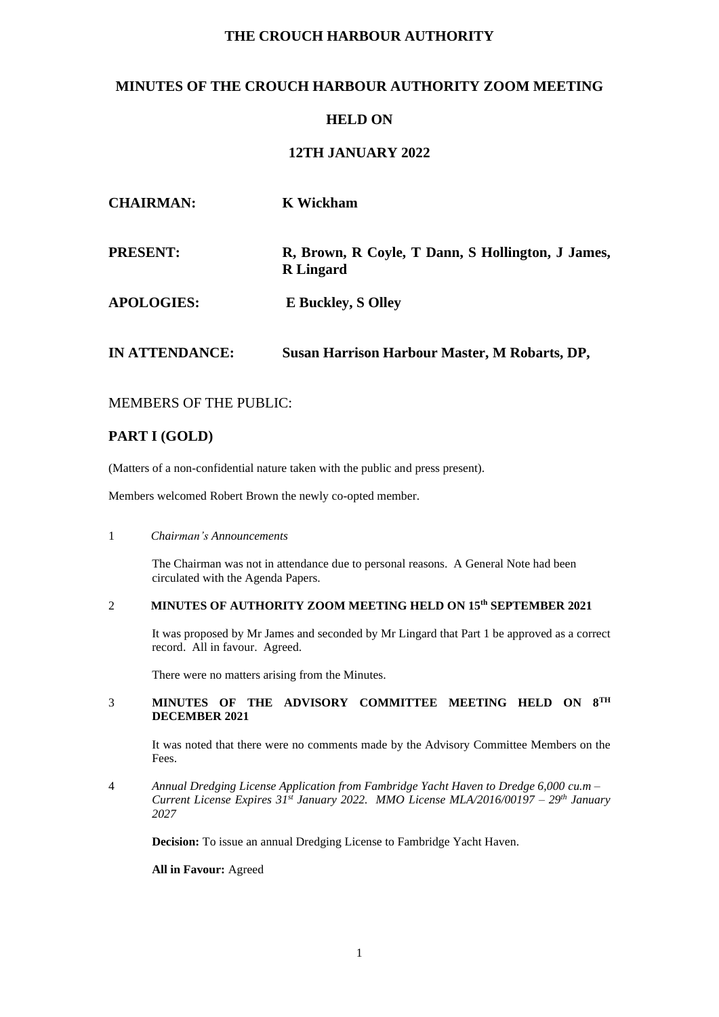# **THE CROUCH HARBOUR AUTHORITY**

# **MINUTES OF THE CROUCH HARBOUR AUTHORITY ZOOM MEETING**

# **HELD ON**

# **12TH JANUARY 2022**

| <b>CHAIRMAN:</b>  | <b>K</b> Wickham                                                      |
|-------------------|-----------------------------------------------------------------------|
| <b>PRESENT:</b>   | R, Brown, R Coyle, T Dann, S Hollington, J James,<br><b>R</b> Lingard |
| <b>APOLOGIES:</b> | <b>E</b> Buckley, S Olley                                             |
| IN ATTENDANCE:    | <b>Susan Harrison Harbour Master, M Robarts, DP,</b>                  |

## MEMBERS OF THE PUBLIC:

## **PART I (GOLD)**

(Matters of a non-confidential nature taken with the public and press present).

Members welcomed Robert Brown the newly co-opted member.

### 1 *Chairman's Announcements*

The Chairman was not in attendance due to personal reasons. A General Note had been circulated with the Agenda Papers.

### 2 **MINUTES OF AUTHORITY ZOOM MEETING HELD ON 15 th SEPTEMBER 2021**

It was proposed by Mr James and seconded by Mr Lingard that Part 1 be approved as a correct record. All in favour. Agreed.

There were no matters arising from the Minutes.

### 3 **MINUTES OF THE ADVISORY COMMITTEE MEETING HELD ON 8TH DECEMBER 2021**

It was noted that there were no comments made by the Advisory Committee Members on the Fees.

4 *Annual Dredging License Application from Fambridge Yacht Haven to Dredge 6,000 cu.m – Current License Expires 31st January 2022. MMO License MLA/2016/00197 – 29th January 2027*

**Decision:** To issue an annual Dredging License to Fambridge Yacht Haven.

**All in Favour:** Agreed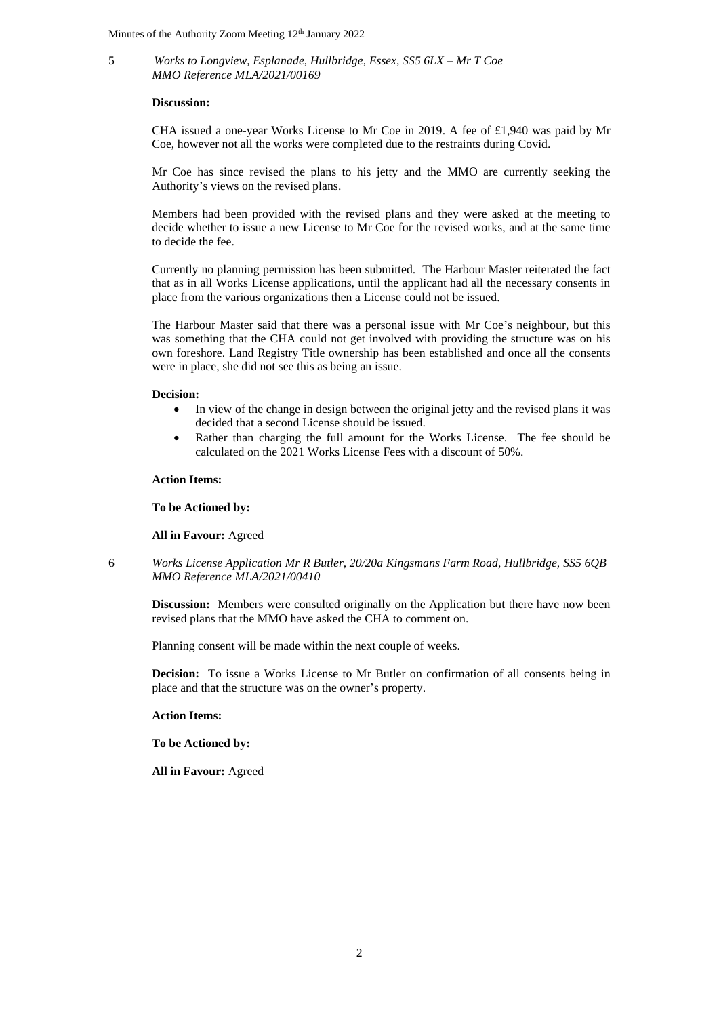5 *Works to Longview, Esplanade, Hullbridge, Essex, SS5 6LX – Mr T Coe MMO Reference MLA/2021/00169*

#### **Discussion:**

CHA issued a one-year Works License to Mr Coe in 2019. A fee of £1,940 was paid by Mr Coe, however not all the works were completed due to the restraints during Covid.

Mr Coe has since revised the plans to his jetty and the MMO are currently seeking the Authority's views on the revised plans.

Members had been provided with the revised plans and they were asked at the meeting to decide whether to issue a new License to Mr Coe for the revised works, and at the same time to decide the fee.

Currently no planning permission has been submitted. The Harbour Master reiterated the fact that as in all Works License applications, until the applicant had all the necessary consents in place from the various organizations then a License could not be issued.

The Harbour Master said that there was a personal issue with Mr Coe's neighbour, but this was something that the CHA could not get involved with providing the structure was on his own foreshore. Land Registry Title ownership has been established and once all the consents were in place, she did not see this as being an issue.

#### **Decision:**

- In view of the change in design between the original jetty and the revised plans it was decided that a second License should be issued.
- Rather than charging the full amount for the Works License. The fee should be calculated on the 2021 Works License Fees with a discount of 50%.

#### **Action Items:**

**To be Actioned by:** 

**All in Favour:** Agreed

6 *Works License Application Mr R Butler, 20/20a Kingsmans Farm Road, Hullbridge, SS5 6QB MMO Reference MLA/2021/00410*

**Discussion:** Members were consulted originally on the Application but there have now been revised plans that the MMO have asked the CHA to comment on.

Planning consent will be made within the next couple of weeks.

**Decision:** To issue a Works License to Mr Butler on confirmation of all consents being in place and that the structure was on the owner's property.

**Action Items:**

**To be Actioned by:** 

**All in Favour:** Agreed